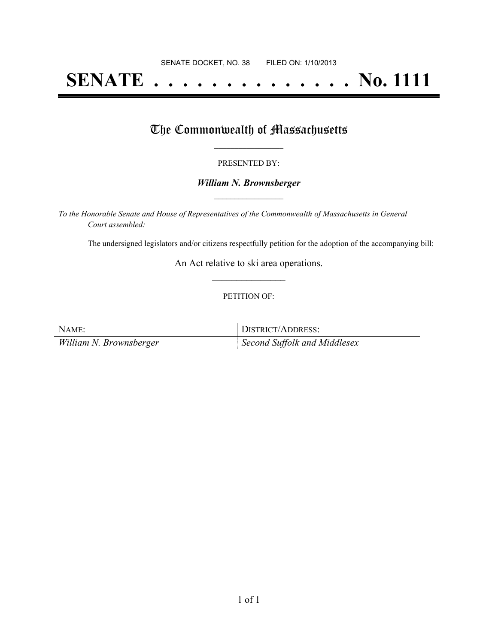# **SENATE . . . . . . . . . . . . . . No. 1111**

## The Commonwealth of Massachusetts

#### PRESENTED BY:

#### *William N. Brownsberger* **\_\_\_\_\_\_\_\_\_\_\_\_\_\_\_\_\_**

*To the Honorable Senate and House of Representatives of the Commonwealth of Massachusetts in General Court assembled:*

The undersigned legislators and/or citizens respectfully petition for the adoption of the accompanying bill:

An Act relative to ski area operations. **\_\_\_\_\_\_\_\_\_\_\_\_\_\_\_**

#### PETITION OF:

NAME: DISTRICT/ADDRESS: *William N. Brownsberger Second Suffolk and Middlesex*